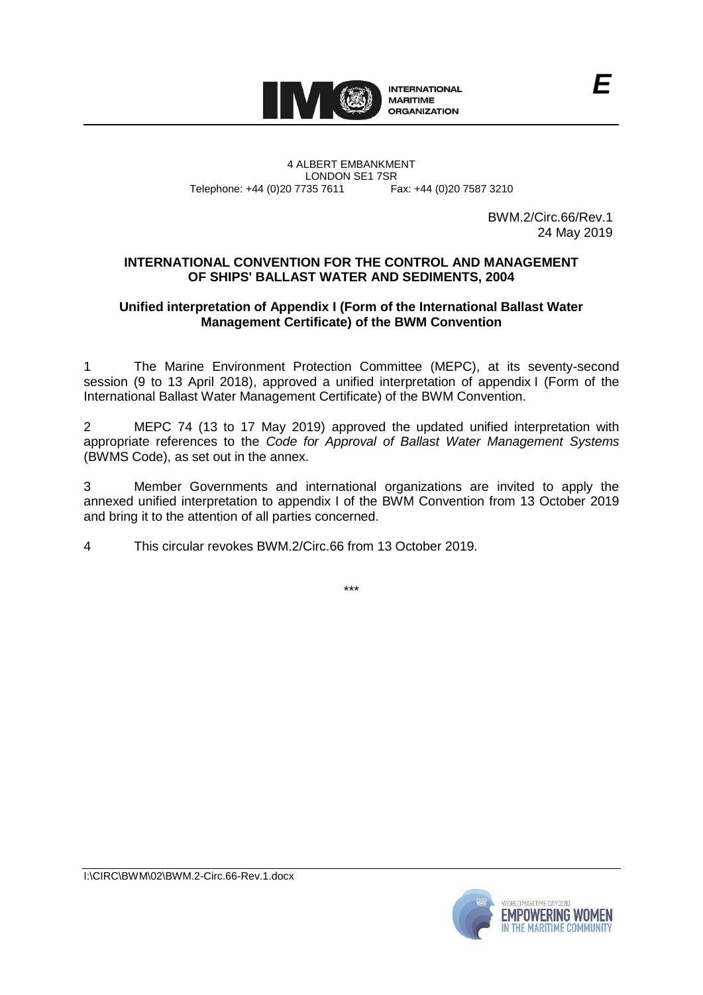

4 ALBERT EMBANKMENT Telephone: +44 (0)20 7735 7611

LONDON SE1 7SR<br>735 7611 Fax: +44 (0)20 7587 3210

BWM.2/Circ.66/Rev.1 24 May 2019

## **INTERNATIONAL CONVENTION FOR THE CONTROL AND MANAGEMENT OF SHIPS' BALLAST WATER AND SEDIMENTS, 2004**

## **Unified interpretation of Appendix I (Form of the International Ballast Water Management Certificate) of the BWM Convention**

1 The Marine Environment Protection Committee (MEPC), at its seventy-second session (9 to 13 April 2018), approved a unified interpretation of appendix I (Form of the International Ballast Water Management Certificate) of the BWM Convention.

2 MEPC 74 (13 to 17 May 2019) approved the updated unified interpretation with appropriate references to the *Code for Approval of Ballast Water Management Systems* (BWMS Code), as set out in the annex.

3 Member Governments and international organizations are invited to apply the annexed unified interpretation to appendix I of the BWM Convention from 13 October 2019 and bring it to the attention of all parties concerned.

4 This circular revokes BWM.2/Circ.66 from 13 October 2019.

\*\*\*